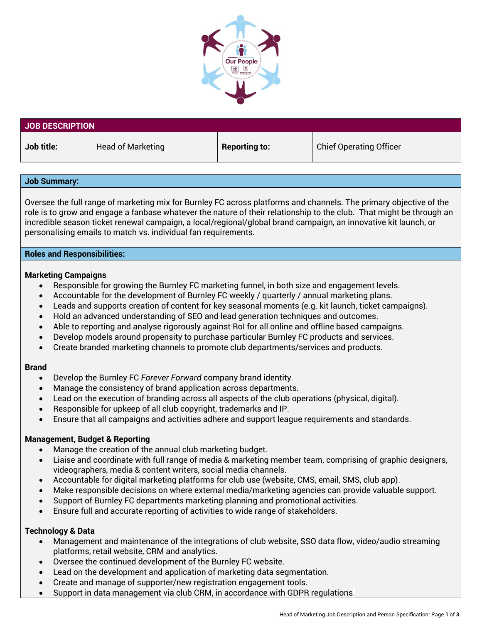

| <b>JOB DESCRIPTION</b> |                          |                      |                                |  |  |
|------------------------|--------------------------|----------------------|--------------------------------|--|--|
| Job title:             | <b>Head of Marketing</b> | <b>Reporting to:</b> | <b>Chief Operating Officer</b> |  |  |

| <b>Job Summary:</b>                                                                                                                                                                                                                                                                                                                                                                                                                                                                                                                                                                                                                               |  |  |  |
|---------------------------------------------------------------------------------------------------------------------------------------------------------------------------------------------------------------------------------------------------------------------------------------------------------------------------------------------------------------------------------------------------------------------------------------------------------------------------------------------------------------------------------------------------------------------------------------------------------------------------------------------------|--|--|--|
| Oversee the full range of marketing mix for Burnley FC across platforms and channels. The primary objective of the<br>role is to grow and engage a fanbase whatever the nature of their relationship to the club. That might be through an<br>incredible season ticket renewal campaign, a local/regional/global brand campaign, an innovative kit launch, or<br>personalising emails to match vs. individual fan requirements.                                                                                                                                                                                                                   |  |  |  |
| <b>Roles and Responsibilities:</b>                                                                                                                                                                                                                                                                                                                                                                                                                                                                                                                                                                                                                |  |  |  |
| <b>Marketing Campaigns</b><br>Responsible for growing the Burnley FC marketing funnel, in both size and engagement levels.<br>Accountable for the development of Burnley FC weekly / quarterly / annual marketing plans.<br>$\bullet$<br>Leads and supports creation of content for key seasonal moments (e.g. kit launch, ticket campaigns).<br>Hold an advanced understanding of SEO and lead generation techniques and outcomes.<br>Able to reporting and analyse rigorously against RoI for all online and offline based campaigns.<br>$\bullet$<br>Develop models around propensity to purchase particular Burnley FC products and services. |  |  |  |

• Create branded marketing channels to promote club departments/services and products.

# **Brand**

- Develop the Burnley FC *Forever Forward* company brand identity.
- Manage the consistency of brand application across departments.
- Lead on the execution of branding across all aspects of the club operations (physical, digital).
- Responsible for upkeep of all club copyright, trademarks and IP.
- Ensure that all campaigns and activities adhere and support league requirements and standards.

# **Management, Budget & Reporting**

- Manage the creation of the annual club marketing budget.
- Liaise and coordinate with full range of media & marketing member team, comprising of graphic designers, videographers, media & content writers, social media channels.
- Accountable for digital marketing platforms for club use (website, CMS, email, SMS, club app).
- Make responsible decisions on where external media/marketing agencies can provide valuable support.
- Support of Burnley FC departments marketing planning and promotional activities.
- Ensure full and accurate reporting of activities to wide range of stakeholders.

## **Technology & Data**

- Management and maintenance of the integrations of club website, SSO data flow, video/audio streaming platforms, retail website, CRM and analytics.
- Oversee the continued development of the Burnley FC website.
- Lead on the development and application of marketing data segmentation.
- Create and manage of supporter/new registration engagement tools.
- Support in data management via club CRM, in accordance with GDPR regulations.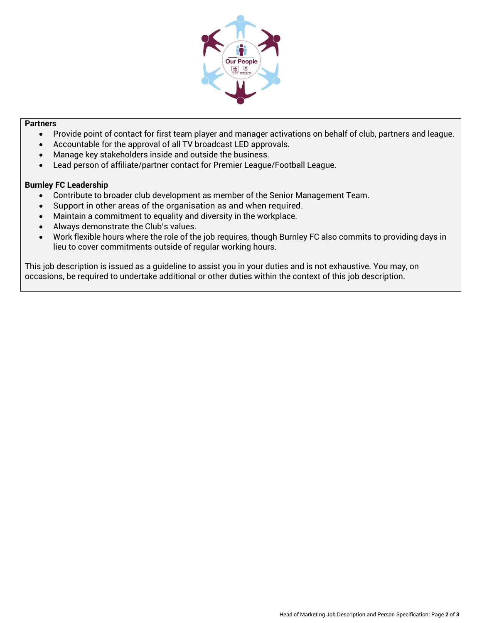

## **Partners**

- Provide point of contact for first team player and manager activations on behalf of club, partners and league.
- Accountable for the approval of all TV broadcast LED approvals.
- Manage key stakeholders inside and outside the business.
- Lead person of affiliate/partner contact for Premier League/Football League.

## **Burnley FC Leadership**

- Contribute to broader club development as member of the Senior Management Team.
- Support in other areas of the organisation as and when required.
- Maintain a commitment to equality and diversity in the workplace.
- Always demonstrate the Club's values.
- Work flexible hours where the role of the job requires, though Burnley FC also commits to providing days in lieu to cover commitments outside of regular working hours.

This job description is issued as a guideline to assist you in your duties and is not exhaustive. You may, on occasions, be required to undertake additional or other duties within the context of this job description.